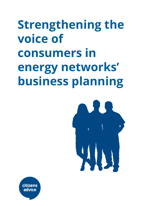# **Strengthening the voice of consumers in energy networks' business planning**



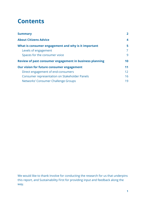# **Contents**

| <b>Summary</b>                                          | $\mathbf{2}$ |
|---------------------------------------------------------|--------------|
| <b>About Citizens Advice</b>                            | 4            |
| What is consumer engagement and why is it important     | 5            |
| Levels of engagement                                    | 7            |
| Spaces for the consumer voice                           | 9            |
| Review of past consumer engagement in business planning | 10           |
| Our vision for future consumer engagement               | 11           |
| Direct engagement of end-consumers                      | 12           |
| Consumer representation on Stakeholder Panels           | 16           |
| Networks' Consumer Challenge Groups                     | 19           |

We would like to thank Involve for conducting the research for us that underpins this report, and Sustainability First for providing input and feedback along the way.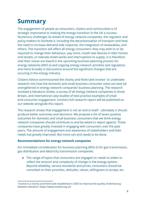# <span id="page-2-0"></span>**Summary**

The engagement of people as consumers, citizens and communities is of strategic importance to making the energy transition in the UK a success. Numerous challenges lie ahead of energy network companies, the regulator and policy-makers to facilitate it, including the decarbonisation of transport and heat, the need to increase demand-side response, the integration of renewables, and others. The transition will affect all energy consumers: they may wish to or be required to change their behaviour, pay more, install new devices in their homes and streets, or tolerate street works and interruptions to supply. It is therefore vital their voices are heard in the upcoming business planning process for energy networks (RIIO-2) and ongoing energy network activities and regulation, and more broadly in discussions around the significant changes that are occuring in the energy industry.

Citizens Advice commissioned the charity and think tank Involve<sup>1</sup> to undertake research into how the domestic and small business consumer voice can best be strengthened in energy network companies' business planning. The research involved a literature review, a survey of all energy network companies in Great Britain, and international case studies of best practice examples of small end-consumer engagement. Involve's full research report will be published on our website alongside this report.

The research shows that engagement is not an end in itself - ultimately it should produce better outcomes and decisions. We propose a list of seven positive outcomes for domestic and small business consumers that we think energy network companies should contribute to and be asked to report against. These companies have greatly invested in engaging with consumers over the past years. The amount of engagement and awareness of stakeholders and their needs has greatly improved. But more can and needs to be done.

#### **Recommendations for energy network companies**

For immediate consideration for business planning (RIIO-2) for gas transmission, gas distribution and electricity transmission companies:

● The range of topics that consumers are engaged on needs to widen to reflect the amount and complexity of change in the energy system. Beyond reliability, service standards and prices, consumers should be consulted on their priorities, attitudes, values, willingness to accept, etc.

<sup>1</sup> Involve is a charity and think tank established in 2003 to improve the quality of democracy between elections. <https://www.involve.org.uk/>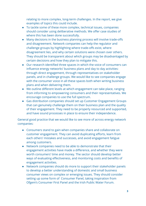relating to more complex, long-term challenges. In the report, we give examples of topics this could include.

- To tackle some of these more complex, technical issues, companies should consider using deliberative methods. We offer case studies of where this has been done successfully.
- Many decisions in the business planning process will involve trade-offs and disagreement. Network companies can help the regulator and challenge groups by highlighting where trade-offs exist, where disagreement lies, and why certain solutions were chosen over others. They should be transparent about which groups may be disadvantaged by certain decisions and how they plan to mitigate this.
- Our research identified three spaces in which the voice of consumers can influence energy networks' business plans and day to day activities: through direct engagement, through representatives on stakeholder panels, and in challenge groups. We would like to see companies engage with the consumer voice in all these spaces both when writing business plans and when delivering them.
- We outline different levels at which engagement can take place, ranging from informing to empowering consumers and their representatives. We encourage companies to use the full spectrum.
- Gas distribution companies should set up Customer Engagement Groups that can genuinely challenge them on their business plan and the quality of their engagement. They need to be properly resourced and supported, and have sound processes in place to ensure their independence.

General good practice that we would like to see more of across energy network companies:

- Consumers stand to gain when companies share and collaborate on customer engagement. They can avoid duplicating efforts, learn from each others' mistakes and successes, and avoid engagement fatigue among customers.
- Network companies need to be able to demonstrate that their engagement activities have made a difference, and whether they were worth consumers' time and money. The sector should develop better ways of evaluating effectiveness, and monitoring costs and benefits of engagement activities.
- Network companies should do more to support their stakeholder panels to develop a better understanding of domestic and small business consumer views on complex or emerging issues. They should consider setting up some form of Consumer Panel, taking inspiration from Ofgem's Consumer First Panel and the Irish Public Water Forum.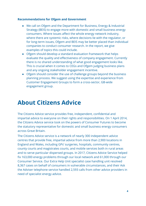#### **Recommendations for Ofgem and Government**

- We call on Ofgem and the Department for Business, Energy & Industrial Strategy (BEIS) to engage more with domestic and small business energy consumers. Where issues affect the whole energy network industry, where there are systemic risks, where decisions lie with the regulator, or for long-term issues, Ofgem and BEIS may be better placed than individual companies to conduct consumer research. In the report, we give examples of topics this could include.
- Ofgem should develop a standard evaluation framework that helps evaluate the quality and effectiveness of company engagement. Currently there is no shared understanding of what good engagement looks like. This is crucial when it comes to CEGs and Ofgem judging business plans and any ongoing stakeholder engagement incentive.
- Ofgem should consider the use of challenge groups beyond the business planning process. We suggest using the expertise and experience from Customer Engagement Groups to form a cross-sector, GB-wide engagement group.

# <span id="page-4-0"></span>**About Citizens Advice**

The Citizens Advice service provides free, independent, confidential and impartial advice to everyone on their rights and responsibilities. On 1 April 2014, the Citizens Advice service took on the powers of Consumer Futures to become the statutory representative for domestic and small business energy consumers across Great Britain.

The Citizens Advice service is a network of nearly 300 independent advice centres that provide free, impartial advice from more than 2,900 locations in England and Wales, including GPs' surgeries, hospitals, community centres, county courts and magistrates courts, and mobile services both in rural areas and to serve particular dispersed groups. In 2017, Citizens Advice Service helped fix 163,000 energy problems through our local network and 61,000 through our Consumer Service. Our Extra Help Unit specialist case handling unit resolved 8,367 cases on behalf of consumers in vulnerable circumstances, and their Ask the Adviser telephone service handled 2,593 calls from other advice providers in need of specialist energy advice.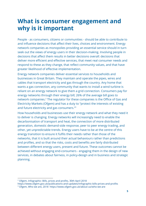# <span id="page-5-0"></span>**What is consumer engagement and why is it important**

People - as consumers, citizens or communities - should be able to contribute to and influence decisions that affect their lives, choices and environment. Energy network companies as monopolies providing an essential service should in turn seek out the views of energy users in their decision-making. Involving people in decisions that affect them results in better decisions overall: decisions that deliver more efficient and effective services, that meet real consumer needs and respond to these as they change, that reflect community values, and that have greater likelihood of effective implementation.

Energy network companies deliver essential services to households and businesses in Great Britain. They maintain and operate the pipes, wires and cables that transport electricity and gas through the country. Any home that wants a gas connection, any community that wants to install a wind turbine is reliant on an energy network to give them a grid connection. Consumers pay for energy networks through their energy bill; 26% of the average bill goes to network companies.<sup>2</sup> The regulator for these companies is the Office of Gas and Electricity Markets (Ofgem) and has a duty to "protect the interests of existing and future electricity and gas consumers."<sup>3</sup>

How households and businesses use their energy network and what they need it to deliver is changing. Energy networks will increasingly need to enable the decarbonisation of transport and heat, the connection of more distributed generation, domestic demand-side response, peer to peer energy trading, and other, yet unpredictable trends. Energy users have to be at the centre of this energy transition to ensure it fulfils their needs rather than those of the networks, that it is built around their actual behaviours rather than predictions and profiles, and so that the risks, costs and benefits are fairly distributed between different energy users, present and future. These outcomes cannot be achieved without engaging end-consumers - engaging them in the design of new services, in debates about fairness, in policy-design and in business and strategic planning.

<sup>2</sup> Ofgem, Infographic: Bills, prices and profits, 30th April 2018

<https://www.ofgem.gov.uk/publications-and-updates/infographic-bills-prices-and-profits>

<sup>3</sup> Ofgem, Who we are, 2018 <https://www.ofgem.gov.uk/about-us/who-we-are>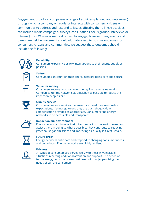Engagement broadly encompasses a range of activities (planned and unplanned) through which a company or regulator interacts with consumers, citizens or communities to address and respond to issues affecting them. These activities can include media campaigns, surveys, consultations, focus groups, interviews or Citizens Juries. Whatever method is used to engage, however many events and panels are held, engagement should ultimately lead to positive outcomes for consumers, citizens and communities. We suggest these outcomes should include the following:



#### **Reliability**

Consumers experience as few interruptions to their energy supply as possible.



#### **Safety**

Consumers can count on their energy network being safe and secure.

#### **Value for money**

Consumers receive good value for money from energy networks. Companies run the networks as efficiently as possible to reduce the impact on people's bills.



#### **Quality service**

Consumers receive services that meet or exceed their reasonable expectations. If things go wrong they are put right quickly with compensation provided as appropriate. Consumers find energy networks to be accessible and transparent.



#### **Impact on our environment**

Energy networks minimise their direct impact on the environment and assist others in doing so where possible. They contribute to reducing greenhouse gas emissions and improving air quality in Great Britain.



#### **Future-proof**

Energy networks anticipate and respond to changing consumer needs and behaviours. Energy networks are highly resilient.



#### **Fairness**

All types of consumers are served well, with those in vulnerable situations receiving additional attention and support. The needs of future energy consumers are considered without jeopardising the needs of current consumers.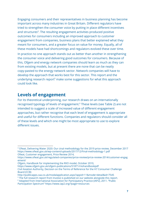Engaging consumers and their representatives in business planning has become important across many industries in Great Britain. Different regulators have tried to strengthen the consumer voice by putting in place different incentives and structures<sup>4</sup>. The resulting engagement activities produced positive outcomes for consumers including an improved approach to customer engagement from companies, business plans that better explained what they meant for consumers, and a greater focus on value for money. Equally, all of these models have had shortcomings and regulators evolved these over time.

In practice no one approach stands out as better than another in strengthening the consumer voice and delivering good outcomes for consumers. Because of this, Ofgem and energy network companies should learn as much as they can from existing models, but at present there are none that can be neatly copy-pasted to the energy network sector. Network companies will have to develop the approach that works best for this sector. This report and the underlying research report<sup>5</sup> make some suggestions for what this approach could look like.

### <span id="page-7-0"></span>**Levels of engagement**

For its theoretical underpinning, our research draws on an internationally recognised typology of levels of engagement.<sup>6</sup> These levels (see Table 2) are not intended to suggest a scale of increased value of different engagement approaches, but rather recognise that each level of engagement is appropriate and useful for different functions. Companies and regulators should consider all of these levels and which one might be most appropriate to use to explore different issues.

<sup>4</sup> Ofwat, Delivering Water 2020: Our cinal methodology for the 2019 price review, December 2017 <https://www.ofwat.gov.uk/wp-content/uploads/2017/12/Final-methodology-1.pdf> Ofwat, Customer engagement, Price Review 2014,

[https://www.ofwat.gov.uk/regulated-companies/price-review/price-review-2014/customer-engag](https://www.ofwat.gov.uk/regulated-companies/price-review/price-review-2014/customer-engagement/) [ement/](https://www.ofwat.gov.uk/regulated-companies/price-review/price-review-2014/customer-engagement/)

Ofgem, Handbook for implementing the RIIO model, October 2010,

<https://www.ofgem.gov.uk/ofgem-publications/51871/riiohandbookpdf>

Civil Aviation Authority, Decision on the Terms of Reference for the H7 Consumer Challenge Board (CCB)

<http://publicapps.caa.co.uk/modalapplication.aspx?appid=11&mode=detail&id=7545>

<sup>&</sup>lt;sup>5</sup> The full research report from Involve is published on our website alongside this report.

<sup>&</sup>lt;sup>6</sup> Adapted from International Association for Participatory Practice (IAP2), 2011. "Public

Participation Spectrum" <https://www.iap2.org/?page=resources>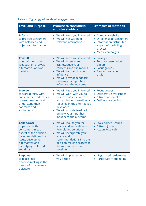### Table 2. Typology of levels of engagement

| <b>Level and Purpose</b>                                                                                                                                                                       | <b>Promise to consumers</b><br>and stakeholders                                                                                                                                                                                                              | <b>Examples of methods</b>                                                                                                     |
|------------------------------------------------------------------------------------------------------------------------------------------------------------------------------------------------|--------------------------------------------------------------------------------------------------------------------------------------------------------------------------------------------------------------------------------------------------------------|--------------------------------------------------------------------------------------------------------------------------------|
| <b>Inform</b><br>to provide consumers<br>with balanced and<br>objective information                                                                                                            | We will keep you informed<br>We will not withhold<br>relevant information                                                                                                                                                                                    | Company website<br>Direct mail to consumers<br>Information distributed<br>as part of the billing<br>process<br>Media campaigns |
| <b>Consult</b><br>to obtain consumer<br>feedback on analysis,<br>alternatives and/or<br>decisions                                                                                              | We will keep you informed<br>We will listen to and<br>$\bullet$<br>acknowledge your<br>concerns and aspirations<br>We will be open to your<br>influence<br>We will provide feedback<br>on how your input has<br>influenced the outcome                       | Surveys<br><b>Formal consultation</b><br>$\bullet$<br>papers<br>Focus groups<br>Randomised control<br>trials                   |
| <b>Involve</b><br>to work directly with<br>consumers to address a<br>pre-set question and<br>understand their<br>concerns and<br>aspirations                                                   | We will keep you informed<br>We will work with you to<br>$\bullet$<br>ensure that your concerns<br>and aspirations are directly<br>reflected in the alternatives<br>developed<br>We will provide feedback<br>on how your input has<br>influenced the outcome | Focus groups<br>$\bullet$<br>Deliberative workshops<br><b>Citizens Assemblies</b><br>Deliberative polling                      |
| <b>Collaborate</b><br>to partner with<br>consumers in each<br>aspect of the decision,<br>including defining the<br>issue, developing<br>alternatives and<br>identifying preferred<br>solutions | We will look to you for<br>$\bullet$<br>advice and innovation in<br>formulating solutions<br>We will incorporate your<br>advice and<br>recommendations into the<br>decision-making process to<br>the maximum extent<br>possible                              | <b>Stakeholder Groups</b><br><b>Citizens Juries</b><br><b>Action Research</b>                                                  |
| <b>Empower</b><br>to place final<br>decision-making in the<br>hands of consumers - to<br>delegate                                                                                              | We will implement what<br>you decide                                                                                                                                                                                                                         | <b>Negotiated settlements</b><br>Participatory budgeting                                                                       |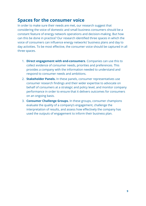### <span id="page-9-0"></span>**Spaces for the consumer voice**

In order to make sure their needs are met, our research suggest that considering the voice of domestic and small business consumers should be a constant feature of energy network operations and decision-making. But how can this be done in practice? Our research identified three spaces in which the voice of consumers can influence energy networks' business plans and day to day activities. To be most effective, the consumer voice should be captured in all three spaces.

- 1. **Direct engagement with end-consumers**. Companies can use this to collect evidence of consumer needs, priorities and preferences. This provides a company with the information needed to understand and respond to consumer needs and ambitions.
- 2. **Stakeholder Panels.** In these panels, consumer representatives use consumer research findings and their wider expertise to advocate on behalf of consumers at a strategic and policy level, and monitor company performance in order to ensure that it delivers outcomes for consumers on an ongoing basis.
- 3. **Consumer Challenge Groups.** In these groups, consumer champions evaluate the quality of a company's engagement, challenge the interpretation of results, and assess how effectively the company has used the outputs of engagement to inform their business plan.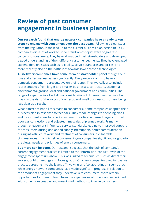# <span id="page-10-0"></span>**Review of past consumer engagement in business planning**

**Our research found that energy network companies have already taken steps to engage with consumers over the past years,** following a clear steer from the regulator. In the lead up to the current business plan period (RIIO-1), companies did a lot of work to understand which topics were of greatest concern to consumers. They have all mapped their stakeholders and developed a good understanding of their different customer segments. They have engaged stakeholders on issues such as reliability, service standards and prices, and more recently also on their attitudes towards lower carbon technologies.

**All network companies have some form of stakeholder panel** though their role and effectiveness varies significantly. Every network aims to have a domestic consumer representative on their panel. They typically also include representatives from larger and smaller businesses, contractors, academia, environmental groups, local and national government and communities. The range of expertise involved allows consideration of different perspectives, but may run the risk of the voices of domestic and small business consumers being less clear as a result.

What difference has all this made to consumers? Some companies adapted their business plan in response to feedback. They made changes to spending plans and investment areas to reflect consumer priorities, increased targets for fuel poor gas connections and adjusted timescales of planned work. Primarily though, engagement influenced service standards, leading to improved support for consumers during unplanned supply interruption, better communication during infrastructure work and treatment of consumers in vulnerable circumstances. In a nutshell, engagement gave companies significant insight into the views, needs and priorities of energy consumers.

**But more can be done.** Our research suggests that the bulk of company's current engagement practice is limited to the 'inform' and 'consult' levels of the engagement spectrum above. This was linked to techniques such as direct mail, surveys, public meetings and focus groups. Only few companies used innovative practices crossing into the levels of 'involving' and 'collaborating'. It seems that, while energy network companies have made significant progress in relation to the amount of engagement they undertake with consumers, there remain opportunities for them to learn from the experiences of others and experiment with some more creative and meaningful methods to involve consumers.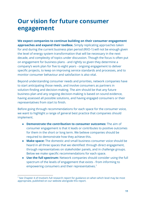# <span id="page-11-0"></span>**Our vision for future consumer engagement**

**We expect companies to continue building on their consumer engagement approaches and expand their toolbox.** Simply replicating approaches taken for and during the current business plan period (RIIO-1) will not be enough given the level of energy system transformation that will be necessary in the next decade, and complexity of topics under discussion. Though the focus is often put on engagement for business plans - and rightly so given they determine a company's work plan for five to eight years - ongoing engagement to deliver specific projects, to keep on improving service standards and processes, and to monitor consumer behaviour and satisfaction is also vital.

Beyond understanding consumer needs and priorities, network companies have to start anticipating those needs, and involve consumers as partners in solution-finding and decision-making. The aim should be that any future business plan and any ongoing decision-making is based on sound evidence, having assessed all possible solutions, and having engaged consumers or their representatives from start to finish.

Before going through recommendations for each space for the consumer voice, we want to highlight a range of general best practice that companies should implement.

- **Demonstrate the contribution to consumer outcomes:** The aim of consumer engagement is that it leads or contributes to positive outcomes for them in the short or long term. We believe companies should be required to demonstrate how they achieve this.
- **Make space:** The domestic and small business consumer voice should be heard in all three spaces that we identified: through direct engagement, through representatives on stakeholder panels, and in challenge groups. Below we make specific recommendations for each space.
- **Use the full spectrum:** Network companies should consider using the full spectrum of the levels of engagement that exists - from informing to empowering consumers and their representatives.<sup>7</sup>

 $<sup>7</sup>$  See Chapter 4 of Involve's full research report for guidance on when which level may be most</sup> appropriate, published on our website alongside this report.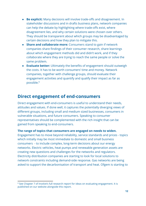- **Be explicit:** Many decisions will involve trade-offs and disagreement. In stakeholder discussions and in drafts business plans, network companies can help the debate by highlighting where trade-offs exist, where disagreement lies, and why certain solutions were chosen over others. They should be transparent about which groups may be disadvantaged by certain decisions and how they plan to mitigate this.
- **Share and collaborate more:** Consumers stand to gain if network companies share findings of their consumer research, share learnings about which engagement methods did and didn't work, and if they collaborate where they are trying to reach the same people or solve the same problem.
- **Evaluate better:** Ultimately the benefits of engagement should outweigh the costs. It has to be worth consumers' time and money. Network companies, together with challenge groups, should evaluate their engagement activities and quantify and qualify their impact as far as possible.<sup>8</sup>

### <span id="page-12-0"></span>**Direct engagement of end-consumers**

Direct engagement with end-consumers is useful to understand their needs, attitudes and values. If done well, it captures the potentially diverging views of different groups, including small and medium sized businesses, consumers in vulnerable situations, and future consumers. Speaking to consumer representatives should be complemented with the rich insight that can be gained from speaking to end-consumers.

#### **The range of topics that consumers are engaged on needs to widen.**

Engagement has to move beyond reliability, service standards and prices - topics which initially may be most immediate to domestic and small business consumers - to include complex, long-term decisions about our energy networks. Electric vehicles, heat pumps and renewable generation assets are creating new questions and challenges for the networks and regulators. Electricity distribution companies are starting to look for local solutions to network constraints including demand-side response. Gas networks are being asked to support the decarbonisation of transport and heat. Ofgem is starting to

<sup>&</sup>lt;sup>8</sup> See Chapter 7 of Involve's full research report for ideas on evaluating engagement. It is published on our website alongside this report.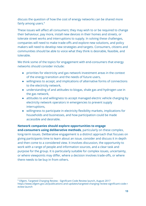discuss the question of how the cost of energy networks can be shared more fairly among users.<sup>9</sup>

These issues will affect all consumers; they may wish to or be required to change their behaviour, pay more, install new devices in their homes and streets, or tolerate street works and interruptions to supply. In solving these challenges, companies will need to make trade-offs and explore new solutions, and policy makers will need to develop new strategies and targets. Consumers, citizens and communities should be able to voice what they think is desirable, feasible, and tolerable.

We think some of the topics for engagement with end-consumers that energy networks should consider include:

- priorities for electricity and gas network investment areas in the context of the energy transition and the needs of future users,
- willingness to accept, and implications of alternative forms of connections to the electricity network,
- understanding of and attitudes to biogas, shale gas and hydrogen use in the gas network,
- attitudes to and willingness to accept managed electric vehicle charging by electricity network operators in emergencies to prevent supply interruptions,
- willingness to participate in electricity flexibility markets, implications for households and businesses, and how participation could be made accessible and desirable.

#### **Network companies should explore opportunities to engage**

**end-consumers using deliberative methods**, particularly on these complex, long-term issues. Deliberative engagement is a distinct approach that focuses on giving participants time to learn about an issue, consider and discuss it in depth and then come to a considered view. It involves discussion, the opportunity to work with a range of people and information sources, and a clear task and purpose for the group. It is particularly suitable for complex issues, uncertainty, or where viewpoints may differ, where a decision involves trade-offs, or where there needs to be buy in from others.

<sup>9</sup> Ofgem, Targeted Charging Review - Significant Code Review launch, August 2017 [https://www.ofgem.gov.uk/publications-and-updates/targeted-charging-review-significant-code-r](https://www.ofgem.gov.uk/publications-and-updates/targeted-charging-review-significant-code-review-launch) [eview-launch](https://www.ofgem.gov.uk/publications-and-updates/targeted-charging-review-significant-code-review-launch)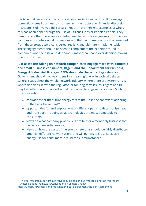It is true that because of the technical complexity it can be difficult to engage domestic or small business consumers in infrastructural or financial discussions. In Chapter 5 of Involve's full research report<sup>10</sup>, we highlight examples of where this has been done through the use of Citizens Juries or People's Panels. They demonstrate that there are established mechanisms for engaging consumers in complex and controversial discussions and that recommendations that emerged from these groups were considered, realistic and ultimately implementable. These engagements should be seen to complement the expertise found in companies and their stakeholder panels, rather than hand over decision-making to end-consumers.

**Just as we are calling on network companies to engage more with domestic and small business consumers, Ofgem and the Department for Business, Energy & Industrial Strategy (BEIS) should do the same.** Regulators and Government should involve citizens in a meaningful way in societal debates. Where issues affect the whole network industry, where there are systemic risks, where decisions lie with the regulator, or for long-term issues, Ofgem and BEIS may be better placed than individual companies to engage consumers. Such topics include:

- aspirations for the future energy mix of the UK in the context of adhering to the Paris Agreement $11$ ,
- opportunities for and implications of different paths to decarbonise heat and transport, including what technologies are most acceptable to consumers,
- views on what company profit levels are fair for a monopoly business that delivers an essential service,
- views on how the costs of the energy networks should be fairly distributed amongst different network users, and willingness to cross-subsidise energy use for consumers in vulnerable circumstances.

 $10$  The full research report from Involve is published on our website alongside this report.

<sup>11</sup> United Nations Framework Convention on Climate Change

<https://unfccc.int/process-and-meetings/the-paris-agreement/the-paris-agreement>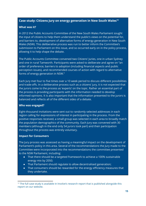#### **Case study: Citizens Jury on energy generation in New South Wales<sup>12</sup>**

#### **What was it?**

In 2012 the Public Accounts Committee of the New South Wales Parliament sought the input of citizens to help them understand the public's views on the potential for, and barriers to, development of alternative forms of energy generation in New South Wales (NSW). This deliberative process was run to better inform the Committee's submission to Parliament on this issue, and so occurred early on in the policy process, allowing it to help shape the debate.

The Public Accounts Committee convened two Citizens' Juries, one in urban Sydney and one in rural Tamworth. Participants were asked to deliberate and agree on "an order of preference, barriers to adoption (including financial aspects and public perception issues), and recommended courses of action with regard to alternative forms of energy generation in NSW."

Each Jury met four to five times over a 10 week period to discuss different possibilities and trade-offs. In a deliberative process such as a citizens' jury, it is not expected that the jurors come to the process as 'experts' on the topic. Rather an essential part of the process is providing participants with the information needed to develop informed opinions. It is also important that the information presented to the jurors is balanced and reflects all of the different sides of a debate.

#### **Who was engaged?**

Eight-thousand invitations were sent out to randomly selected addresses in each region calling for expressions of interest in participating in the process. From the positive responses received, a small group was selected in each area to broadly match the population demographics of the community. Each Jury was convened with 30 members (although in the end only 54 jurors took part) and their participation throughout the process was entirely voluntary.

#### **Impact for Consumers**

The Jury process was assessed as having a meaningful impact on the development of Parliament's policy in this area. Several of the recommendations the Jury made to the Committee were incorporated into the recommendations the committee presented to the NSW Parliament, including:

- That there should be a targeted framework to achieve a 100% sustainable energy mix by 2050;
- That Parliament should regulate to allow decentralised generation;
- That consumers should be rewarded for the energy efficiency measures that they undertake.

 $12$  The full case study is available in Involve's research report that is published alongside this report on our website.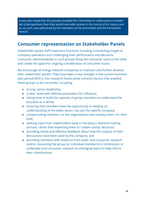It was also noted that this process enabled the Committee to understand a broader set of perspectives than they would normally receive in the course of an inquiry and as, as such, was welcomed by the members of the Committee and the Parliament overall.

### **Consumer representation on Stakeholder Panels**

Stakeholder panels fulfil important functions including contributing insight to company operations and challenging their performance and decisions. Consumer representatives in such groups bring the consumer voice to the table and create the space for ongoing consideration of consumer issues.

We encourage all energy network companies to maintain and further develop their stakeholder panels. They have been a real strength in the current business plan period (RIIO1). Our research found some common factors that enabled these groups to be successful, including:

- strong, senior leadership;
- a clear remit with defined parameters for influence;
- taking time to build the capacity of group members to understand the business as a whole;
- ensuring that members have the opportunity to develop an understanding of the wider sector, not just the specific company;
- compensating members, or the organisations who employ them, for their time;
- seeking input from stakeholders early in the policy / decision-making process, rather than expecting them to 'rubber-stamp' decisions;
- providing timely and effective feedback about how the outputs of their discussions have been used by the company; and
- providing members with evidence from wider end-consumer research and/or resourcing the group (or individual members) to commission or undertake end-consumer research on emerging topics to help inform their contributions.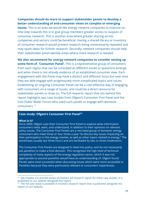#### **Companies should do more to support stakeholder panels to develop a better understanding of end-consumer views on complex or emerging**

**issues.** This is an area we would like energy network companies to improve on. One step towards this is to give group members greater access to outputs of consumer research. This is another area where greater sharing across companies and sectors could be beneficial. Having a shared library or inventory of consumer research would prevent research being unnecessarily repeated and may spark ideas for further research. Secondly, network companies should help their stakeholder panel identify areas where more research is needed.

**We also recommend for energy network companies to consider setting up some form of 'Consumer Panel'.** This is a representative group of consumers from each region that can be consulted as different issues or questions emerge, and when there is not already evidence of an established consumer view. Each engagement with the Panel may have a distinct and different focus but over time they are able engage with progressively more complicated topics and issues. Establishing an ongoing Consumer Panel can be a cost-effective way of engaging with consumers on a range of issues, and could be a direct resource for stakeholder panels to draw on. The full research report that sits behind this report highlights two case studies from Ofgem's Consumer First Panel and the Irish Public Water Forum who used such panels to engage with domestic consumers.<sup>13</sup>

#### **Case study: Ofgem's Consumer First Panel<sup>14</sup>**

#### **What is it?**

Since 2009, Ofgem uses their Consumer First Panel to explore what information consumers need, want, and understand, in addition to their opinions on relevant policy issues. The Consumer First Panels are a recruited group of domestic energy consumers who meet three or four times a year "to discuss key issues impacting on their participation in the energy market, as well as other topics related to energy." The workshops usually last three hours and are facilitated by two or three moderators.

The Consumer First Panels are designed to feed into policy, and do not necessarily ask panelists to make a final decision. This recognises the high level of technical complexity of many aspects of the energy regulation sector, which it was not appropriate to assume panelists would have an understanding of. Ofgem found Panels were most successful when discussing issues which were more accessible to Panelists because they were particularly relevant to consumers' experiences.

<sup>&</sup>lt;sup>13</sup> See Chapter 4 b and the Annex of Involve's full research report for these case studies. It is published on our website alongside this report.

 $14$  The full case study is available in Involve's research report that is published alongside this report on our website.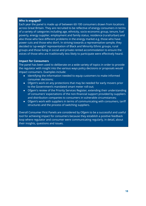#### **Who is engaged?**

Each year the panel is made up of between 60-100 consumers drawn from locations across Great Britain. They are recruited to be reflective of energy consumers in terms of a variety of categories including age, ethnicity, socio-economic group, tenure, fuel poverty, energy supplier, employment and family status, residence (rural/urban) and also those who face different problems in the energy market e.g. those who have power cuts and those who don't. In striving towards a representative sample, they decided to 'up-weight' representation of Black and Minority Ethnic groups, rural groups and those living in social and private rented accommodation to ensure the voices of those who are traditionally less likely to participate were effectively heard.

#### **Impact for Consumers**

The panel has been used to deliberate on a wide variety of topics in order to provide the regulator with insight into the various ways policy decisions or proposals would impact consumers. Examples include:

- Identifying the information needed to equip customers to make informed consumer decisions;
- Ofgem's work on any protections that may be needed for early movers prior to the Government's mandated smart meter roll-out;
- Ofgem's review of the Priority Services Register, extending their understanding of consumers' expectations of the non-financial support provided by suppliers and distribution companies to consumers in vulnerable circumstances;
- Ofgem's work with suppliers in terms of communicating with consumers, tariff structures and the process of switching suppliers.

Overall Consumer First Panels are considered by Ofgem to be a successful and useful tool for achieving impact for consumers because they establish a positive feedback loop where regulator and consumer were communicating regularly, in detail, about their insights, questions and issues.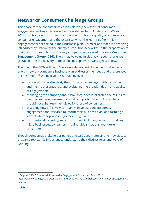## **Networks' Consumer Challenge Groups**

This space for the consumer voice is a relatively new form of consumer engagement and was introduced in the water sector in England and Wales in 2014. In this space, consumer champions scrutinise the quality of a company's consumer engagement and the extent to which the learnings from this engagement are reflected in their business plan. A similar approach is now being introduced by Ofgem for the energy distribution networks<sup>15</sup> in the preparation of their next business plans, with every company being asked to form a **Customer Engagement Group (CEG)**. There may be value in also having such challenge groups during the delivery of these business plans, as we suggest below.

The role of the CEGs will be to "provide independent challenge on whether an energy network company's business plan addresses the needs and preferences of consumers."<sup>16</sup> We believe this should involve:

- scrutinising how effectively the company has engaged with consumers and their representatives, and evaluating the breadth, depth and quality of engagement;
- challenging the company about how they have interpreted the results of their consumer engagement - but it is important that CEG members should not substitute their views for those of consumers;
- assessing how effectively companies have used the outcomes of engagement and research to inform their business plan, and forming a view of whether proposals go far enough; and
- considering different types of consumers, including domestic, small and micro businesses, consumers in vulnerable situations and future consumers.

Though companies' stakeholder panels and CEGs seem similar and may discuss the same topics, it is important to understand their distinct roles and ways of working.

<sup>15</sup> Ofgem, RIIO-2 Enhanced Stakeholder Engagement Guidance, March 2018 [https://www.ofgem.gov.uk/publications-and-updates/riio-2-enhanced-stakeholder-engagement-g](https://www.ofgem.gov.uk/publications-and-updates/riio-2-enhanced-stakeholder-engagement-guidance) [uidance](https://www.ofgem.gov.uk/publications-and-updates/riio-2-enhanced-stakeholder-engagement-guidance)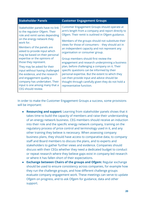| <b>Stakeholder Panels</b>                                                                                                                                                                                                                                                      | <b>Customer Engagement Groups</b>                                                                                                                                                                                                                                                                                                                                               |
|--------------------------------------------------------------------------------------------------------------------------------------------------------------------------------------------------------------------------------------------------------------------------------|---------------------------------------------------------------------------------------------------------------------------------------------------------------------------------------------------------------------------------------------------------------------------------------------------------------------------------------------------------------------------------|
| Stakeholder panels have no link<br>to the regulator Ofgem. Their<br>role and remit varies depending<br>on the energy network they<br>work for.<br>Members of the panels are<br>asked to provide input which<br>may be based on their personal                                  | Customer Engagement Groups should operate at<br>arm's length from a company and report directly to<br>Ofgem. Their remit is outlined in Ofgem guidance.<br>Members of the groups should not substitute their<br>views for those of consumers - they should act in<br>an independent capacity and not represent any<br>organisation or consumer group.                           |
| expertise or the opinions of<br>those they represent.<br>They may be asked for their<br>input without having challenged<br>the evidence, and the research<br>and engagement quality a<br>company has undertaken. Their<br>input is one among many that a<br>CEG should review. | Group members should first review the<br>engagement and research underpinning a business<br>plan, before challenging a company on it. Their<br>specific questions can be informed by their<br>personal expertise. But the extent to which they<br>can then provide input and advice should be<br>thought through carefully given they do not hold a<br>representative function. |

In order to make the Customer Engagement Groups a success, some provisions will be important:

- **Resourcing and support:** Learning from stakeholder panels shows that it takes time to build the capacity of members and raise their understanding of an energy network business. CEG members should receive an induction into their role and the specific energy network company, training on the regulatory process of price control and terminology used in it, and any other training they believe is necessary. When assessing company business plans, they should have access to comparative data, to company staff and Board members to discuss the plans, and to experts and stakeholders to gather further views and evidence. Companies should discuss with their CEGs whether they need a dedicated budget to conduct or repeat research where they believe gaps exist in company-led research or where it has fallen short of their expectations.
- **Exchange between Chairs of the groups and Ofgem:** Regular exchange should be used to ensure consistency across companies, for example how they run the challenge groups, and how different challenge groups evaluate company engagement work. These meetings can serve to update Ofgem on progress, and to ask Ofgem for guidance, data and other support.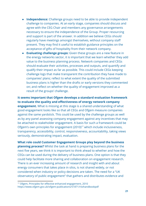- **Independence:** Challenge groups need to be able to provide independent challenge to companies. At an early stage, companies should discuss and agree with the CEG Chair and members any governance arrangements necessary to ensure the independence of the Group. Proper resourcing and support is part of the answer. In addition we believe CEGs should regularly have meetings amongst themselves, without company staff present. They may find it useful to establish guidance principles on the acceptance of gifts of hospitality from their network company.
- **Evaluating challenge groups:** Given these groups are a new feature in the energy networks sector, it is important that we learn whether they add value to the business planning process. Network companies and CEGs should evaluate their activities, processes and outputs, and quantify and qualify their impact as far as possible. This could include CEGs keeping challenge logs that make transparent the contribution they have made to companies' plans; reflect to what extent the quality of the submitted business plans is higher than the drafts or early versions they commented on; and reflect on whether the quality of engagement improved as a result of the groups' challenge.

**It seems important that Ofgem develops a standard evaluation framework to evaluate the quality and effectiveness of energy network company engagement.** What is missing at this stage is a shared understanding of what good engagement looks like so that all CEGs and Ofgem measure companies against the same yardstick. This could be used by the challenge groups as well as by any panel assessing company engagement against any incentives that may be attached to stakeholder engagement. A basis for such a framework could be Ofgem's own principles for engagement (2010)<sup>17</sup> which include inclusiveness, transparency, accessibility, control, responsiveness, accountability, taking views seriously, demonstrating impact, evaluation.

**What role could Customer Engagement Groups play beyond the business planning process?** Whilst the task at hand is preparing business plans for the next five years, we think it is important to think ahead to whether and how the CEGs can be used during the delivery of business plans. One option is that they could help facilitate more sharing and collaboration on engagement research. There is an ever increasing amount of research and insight with and about energy consumers that takes place in silos, is not shared widely, or not considered when industry or policy decisions are taken. The need for a "UK observatory of public engagement" that gathers and distributes evidence and

<sup>17</sup> Ofgem, Principles for effective enhanced engagement, 2010 <https://www.ofgem.gov.uk/ofgem-publications/51871/riiohandbookpdf>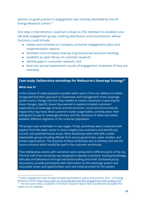advises on good practice in engagement was recently identified by the UK Energy Research Centre.<sup>18</sup>

One step in that direction could be to draw on CEG members to establish one GB-wide engagement group, covering distribution and transmission, whose functions could include:

- review and comment on company consumer engagement plans and implementation reports;
- facilitate cross-company sharing of good practice and joint working;
- establish an open library of customer research;
- identify gaps in consumer research; and
- feed into annual assessment rounds of engagement incentives (if they are retained).

### **Case study: Deliberative workshops for Melbourne's Sewerage Strategy<sup>19</sup>**

#### **What was it?**

In the context of rapid population growth within parts of the city, Melbourne Water recognised that their approach to investment and management of the sewerage system had to change and that they needed to involve customers in planning for these changes. Specific issues they wanted to explore included customers' expectations of sewerage services and the economic, social and environmental impact they may have; what customers' water usage habits currently were; their willingness to pay for sewerage services; and the variations of views and needs between different segments of the customer population.

The project was undertaken in two stages. Firstly, workshops were conducted with experts from the water sector to share insights into customers and identify key current, and potential future issues. More workshops were held with a wider stakeholder group including officials from across government, water retailers and private organisations. The purpose of these workshops was to develop and test the future scenarios which would be used in the customer workshops.

Then deliberative events with customers were conducted in different parts of the city. The first half of the workshop was designed to identify customers' existing knowledge, attitudes and behaviours through interactive polling and small, facilitated group discussions, provide participants with information on the sewerage system and associated issues and opportunities, and rank initial priorities for the system.

 $18$  Public Engagement with Energy: broadening evidence, policy and practice, 2017, UK Energy Research Centre <http://www.ukerc.ac.uk/publications/public-engagement-with-energy.html>  $19$  The full case study is available in Involve's research report that is published alongside this report on our website.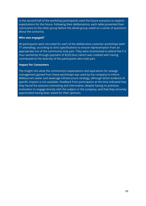In the second half of the workshop participants used the future scenarios to explore expectations for the future. Following their deliberations, each table presented their conclusions to the other group before the whole group voted on a series of questions about the scenarios.

#### **Who was engaged?**

40 participants were recruited for each of the deliberative customer workshops (with 77 attending), according to strict specifications to ensure representation from an appropriate mix of the community took part. They were incentivised to attend the 5  $\frac{1}{2}$ hour workshop through payment of \$220 (Aus.) which was credited with having contributed to the diversity of the participants who took part.

#### **Impact for Consumers**

The insight into what the community's expectations and aspirations for sewage management gained from these workshops was used by the company to inform Melbourne's water and sewerage infrastructure strategy, although direct evidence of specific impacts is not available. Feedback from participants at the time indicated that they found the sessions interesting and informative, despite having no previous motivation to engage directly with the subject or the company, and that they sincerely appreciated having been asked for their opinions.